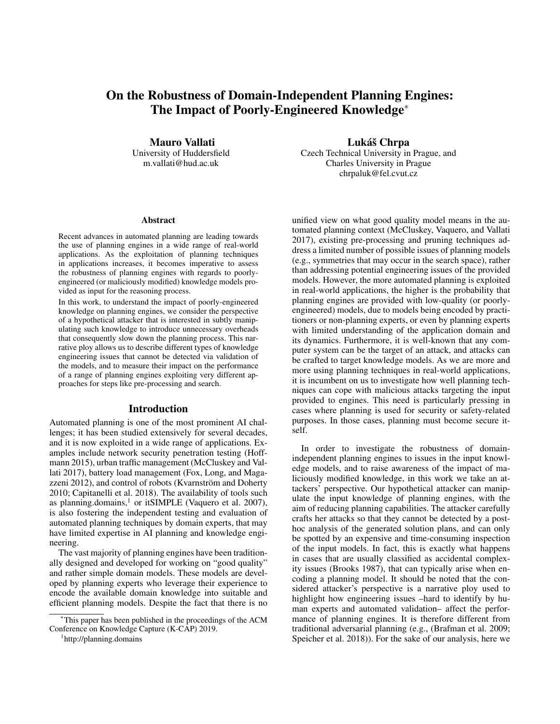# On the Robustness of Domain-Independent Planning Engines: The Impact of Poorly-Engineered Knowledge<sup>∗</sup>

Mauro Vallati University of Huddersfield m.vallati@hud.ac.uk

#### **Abstract**

Recent advances in automated planning are leading towards the use of planning engines in a wide range of real-world applications. As the exploitation of planning techniques in applications increases, it becomes imperative to assess the robustness of planning engines with regards to poorlyengineered (or maliciously modified) knowledge models provided as input for the reasoning process.

In this work, to understand the impact of poorly-engineered knowledge on planning engines, we consider the perspective of a hypothetical attacker that is interested in subtly manipulating such knowledge to introduce unnecessary overheads that consequently slow down the planning process. This narrative ploy allows us to describe different types of knowledge engineering issues that cannot be detected via validation of the models, and to measure their impact on the performance of a range of planning engines exploiting very different approaches for steps like pre-processing and search.

# Introduction

Automated planning is one of the most prominent AI challenges; it has been studied extensively for several decades, and it is now exploited in a wide range of applications. Examples include network security penetration testing (Hoffmann 2015), urban traffic management (McCluskey and Vallati 2017), battery load management (Fox, Long, and Magazzeni 2012), and control of robots (Kvarnström and Doherty 2010; Capitanelli et al. 2018). The availability of tools such as planning.domains,<sup>1</sup> or itSIMPLE (Vaquero et al. 2007), is also fostering the independent testing and evaluation of automated planning techniques by domain experts, that may have limited expertise in AI planning and knowledge engineering.

The vast majority of planning engines have been traditionally designed and developed for working on "good quality" and rather simple domain models. These models are developed by planning experts who leverage their experience to encode the available domain knowledge into suitable and efficient planning models. Despite the fact that there is no

1 http://planning.domains

Lukáš Chrpa Czech Technical University in Prague, and Charles University in Prague chrpaluk@fel.cvut.cz

unified view on what good quality model means in the automated planning context (McCluskey, Vaquero, and Vallati 2017), existing pre-processing and pruning techniques address a limited number of possible issues of planning models (e.g., symmetries that may occur in the search space), rather than addressing potential engineering issues of the provided models. However, the more automated planning is exploited in real-world applications, the higher is the probability that planning engines are provided with low-quality (or poorlyengineered) models, due to models being encoded by practitioners or non-planning experts, or even by planning experts with limited understanding of the application domain and its dynamics. Furthermore, it is well-known that any computer system can be the target of an attack, and attacks can be crafted to target knowledge models. As we are more and more using planning techniques in real-world applications, it is incumbent on us to investigate how well planning techniques can cope with malicious attacks targeting the input provided to engines. This need is particularly pressing in cases where planning is used for security or safety-related purposes. In those cases, planning must become secure itself.

In order to investigate the robustness of domainindependent planning engines to issues in the input knowledge models, and to raise awareness of the impact of maliciously modified knowledge, in this work we take an attackers' perspective. Our hypothetical attacker can manipulate the input knowledge of planning engines, with the aim of reducing planning capabilities. The attacker carefully crafts her attacks so that they cannot be detected by a posthoc analysis of the generated solution plans, and can only be spotted by an expensive and time-consuming inspection of the input models. In fact, this is exactly what happens in cases that are usually classified as accidental complexity issues (Brooks 1987), that can typically arise when encoding a planning model. It should be noted that the considered attacker's perspective is a narrative ploy used to highlight how engineering issues –hard to identify by human experts and automated validation– affect the performance of planning engines. It is therefore different from traditional adversarial planning (e.g., (Brafman et al. 2009; Speicher et al. 2018)). For the sake of our analysis, here we

<sup>∗</sup>This paper has been published in the proceedings of the ACM Conference on Knowledge Capture (K-CAP) 2019.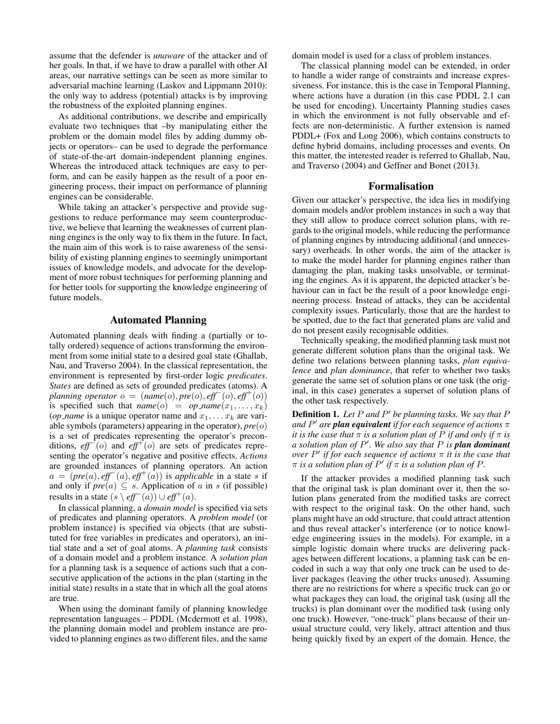assume that the defender is *unaware* of the attacker and of her goals. In that, if we have to draw a parallel with other AI areas, our narrative settings can be seen as more similar to adversarial machine learning (Laskov and Lippmann 2010): the only way to address (potential) attacks is by improving the robustness of the exploited planning engines.

As additional contributions, we describe and empirically evaluate two techniques that –by manipulating either the problem or the domain model files by adding dummy objects or operators– can be used to degrade the performance of state-of-the-art domain-independent planning engines. Whereas the introduced attack techniques are easy to perform, and can be easily happen as the result of a poor engineering process, their impact on performance of planning engines can be considerable.

While taking an attacker's perspective and provide suggestions to reduce performance may seem counterproductive, we believe that learning the weaknesses of current planning engines is the only way to fix them in the future. In fact, the main aim of this work is to raise awareness of the sensibility of existing planning engines to seemingly unimportant issues of knowledge models, and advocate for the development of more robust techniques for performing planning and for better tools for supporting the knowledge engineering of future models.

# Automated Planning

Automated planning deals with finding a (partially or totally ordered) sequence of actions transforming the environment from some initial state to a desired goal state (Ghallab, Nau, and Traverso 2004). In the classical representation, the environment is represented by first-order logic *predicates*. *States* are defined as sets of grounded predicates (atoms). A *planning operator*  $o = (name(o), pre(o), eff^-(o), eff^+(o))$ is specified such that  $name(o) = op_name(x_1, \ldots, x_k)$ (*op\_name* is a unique operator name and  $x_1, \ldots, x_k$  are variable symbols (parameters) appearing in the operator), *pre*(o) is a set of predicates representing the operator's preconditions, *eff*<sup>−</sup>(o) and *eff*+(o) are sets of predicates representing the operator's negative and positive effects. *Actions* are grounded instances of planning operators. An action  $a = (pre(a), eff^-(a), eff^+(a))$  is *applicable* in a state s if and only if  $pre(a) \subseteq s$ . Application of a in s (if possible) results in a state  $(s \, \, \cdot \, \text{eff}^-(a)) \cup \text{eff}^+(a)$ .

In classical planning, a *domain model* is specified via sets of predicates and planning operators. A *problem model* (or problem instance) is specified via objects (that are substituted for free variables in predicates and operators), an initial state and a set of goal atoms. A *planning task* consists of a domain model and a problem instance. A *solution plan* for a planning task is a sequence of actions such that a consecutive application of the actions in the plan (starting in the initial state) results in a state that in which all the goal atoms are true.

When using the dominant family of planning knowledge representation languages – PDDL (Mcdermott et al. 1998), the planning domain model and problem instance are provided to planning engines as two different files, and the same

domain model is used for a class of problem instances.

The classical planning model can be extended, in order to handle a wider range of constraints and increase expressiveness. For instance, this is the case in Temporal Planning, where actions have a duration (in this case PDDL 2.1 can be used for encoding). Uncertainty Planning studies cases in which the environment is not fully observable and effects are non-deterministic. A further extension is named PDDL+ (Fox and Long 2006), which contains constructs to define hybrid domains, including processes and events. On this matter, the interested reader is referred to Ghallab, Nau, and Traverso (2004) and Geffner and Bonet (2013).

# Formalisation

Given our attacker's perspective, the idea lies in modifying domain models and/or problem instances in such a way that they still allow to produce correct solution plans, with regards to the original models, while reducing the performance of planning engines by introducing additional (and unnecessary) overheads. In other words, the aim of the attacker is to make the model harder for planning engines rather than damaging the plan, making tasks unsolvable, or terminating the engines. As it is apparent, the depicted attacker's behaviour can in fact be the result of a poor knowledge engineering process. Instead of attacks, they can be accidental complexity issues. Particularly, those that are the hardest to be spotted, due to the fact that generated plans are valid and do not present easily recognisable oddities.

Technically speaking, the modified planning task must not generate different solution plans than the original task. We define two relations between planning tasks, *plan equivalence* and *plan dominance*, that refer to whether two tasks generate the same set of solution plans or one task (the original, in this case) generates a superset of solution plans of the other task respectively.

Definition 1. Let P and P' be planning tasks. We say that P *and* P <sup>0</sup> *are plan equivalent if for each sequence of actions* π *it is the case that*  $\pi$  *is a solution plan of*  $P$  *if and only if*  $\pi$  *is a solution plan of* P 0 *. We also say that* P *is plan dominant over* P 0 *if for each sequence of actions* π *it is the case that*  $\pi$  is a solution plan of  $P'$  if  $\pi$  is a solution plan of P.

If the attacker provides a modified planning task such that the original task is plan dominant over it, then the solution plans generated from the modified tasks are correct with respect to the original task. On the other hand, such plans might have an odd structure, that could attract attention and thus reveal attacker's interference (or to notice knowledge engineering issues in the models). For example, in a simple logistic domain where trucks are delivering packages between different locations, a planning task can be encoded in such a way that only one truck can be used to deliver packages (leaving the other trucks unused). Assuming there are no restrictions for where a specific truck can go or what packages they can load, the original task (using all the trucks) is plan dominant over the modified task (using only one truck). However, "one-truck" plans because of their unusual structure could, very likely, attract attention and thus being quickly fixed by an expert of the domain. Hence, the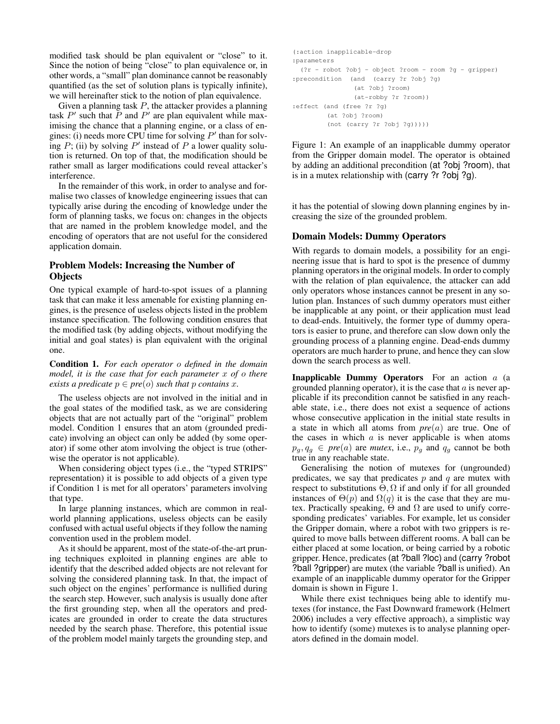modified task should be plan equivalent or "close" to it. Since the notion of being "close" to plan equivalence or, in other words, a "small" plan dominance cannot be reasonably quantified (as the set of solution plans is typically infinite), we will hereinafter stick to the notion of plan equivalence.

Given a planning task  $P$ , the attacker provides a planning task  $P'$  such that  $\overline{P}$  and  $P'$  are plan equivalent while maximising the chance that a planning engine, or a class of engines: (i) needs more CPU time for solving  $P'$  than for solving  $P$ ; (ii) by solving  $P'$  instead of  $P$  a lower quality solution is returned. On top of that, the modification should be rather small as larger modifications could reveal attacker's interference.

In the remainder of this work, in order to analyse and formalise two classes of knowledge engineering issues that can typically arise during the encoding of knowledge under the form of planning tasks, we focus on: changes in the objects that are named in the problem knowledge model, and the encoding of operators that are not useful for the considered application domain.

# Problem Models: Increasing the Number of **Objects**

One typical example of hard-to-spot issues of a planning task that can make it less amenable for existing planning engines, is the presence of useless objects listed in the problem instance specification. The following condition ensures that the modified task (by adding objects, without modifying the initial and goal states) is plan equivalent with the original one.

Condition 1. *For each operator* o *defined in the domain model, it is the case that for each parameter* x *of* o *there exists a predicate*  $p \in pre(o)$  *such that* p *contains* x.

The useless objects are not involved in the initial and in the goal states of the modified task, as we are considering objects that are not actually part of the "original" problem model. Condition 1 ensures that an atom (grounded predicate) involving an object can only be added (by some operator) if some other atom involving the object is true (otherwise the operator is not applicable).

When considering object types (i.e., the "typed STRIPS" representation) it is possible to add objects of a given type if Condition 1 is met for all operators' parameters involving that type.

In large planning instances, which are common in realworld planning applications, useless objects can be easily confused with actual useful objects if they follow the naming convention used in the problem model.

As it should be apparent, most of the state-of-the-art pruning techniques exploited in planning engines are able to identify that the described added objects are not relevant for solving the considered planning task. In that, the impact of such object on the engines' performance is nullified during the search step. However, such analysis is usually done after the first grounding step, when all the operators and predicates are grounded in order to create the data structures needed by the search phase. Therefore, this potential issue of the problem model mainly targets the grounding step, and

```
(:action inapplicable-drop
:parameters
 (?r - robot ?obj - object ?room - room ?g - gripper)
:precondition (and (carry ?r ?obj ?g)
               (at ?obj ?room)
               (at-robby ?r ?room))
:effect (and (free ?r ?g)
        (at ?obj ?room)
        (not (carry ?r ?obj ?g)))))
```
Figure 1: An example of an inapplicable dummy operator from the Gripper domain model. The operator is obtained by adding an additional precondition (at ?obj ?room), that is in a mutex relationship with (carry ?r ?obj ?g).

it has the potential of slowing down planning engines by increasing the size of the grounded problem.

# Domain Models: Dummy Operators

With regards to domain models, a possibility for an engineering issue that is hard to spot is the presence of dummy planning operators in the original models. In order to comply with the relation of plan equivalence, the attacker can add only operators whose instances cannot be present in any solution plan. Instances of such dummy operators must either be inapplicable at any point, or their application must lead to dead-ends. Intuitively, the former type of dummy operators is easier to prune, and therefore can slow down only the grounding process of a planning engine. Dead-ends dummy operators are much harder to prune, and hence they can slow down the search process as well.

**Inapplicable Dummy Operators** For an action  $a$  (a grounded planning operator), it is the case that  $a$  is never applicable if its precondition cannot be satisfied in any reachable state, i.e., there does not exist a sequence of actions whose consecutive application in the initial state results in a state in which all atoms from *pre*(a) are true. One of the cases in which  $a$  is never applicable is when atoms  $p_q, q_q \in pre(a)$  are *mutex*, i.e.,  $p_q$  and  $q_q$  cannot be both true in any reachable state.

Generalising the notion of mutexes for (ungrounded) predicates, we say that predicates  $p$  and  $q$  are mutex with respect to substitutions  $\Theta$ ,  $\Omega$  if and only if for all grounded instances of  $\Theta(p)$  and  $\Omega(q)$  it is the case that they are mutex. Practically speaking,  $\Theta$  and  $\Omega$  are used to unify corresponding predicates' variables. For example, let us consider the Gripper domain, where a robot with two grippers is required to move balls between different rooms. A ball can be either placed at some location, or being carried by a robotic gripper. Hence, predicates (at ?ball ?loc) and (carry ?robot ?ball ?gripper) are mutex (the variable ?ball is unified). An example of an inapplicable dummy operator for the Gripper domain is shown in Figure 1.

While there exist techniques being able to identify mutexes (for instance, the Fast Downward framework (Helmert 2006) includes a very effective approach), a simplistic way how to identify (some) mutexes is to analyse planning operators defined in the domain model.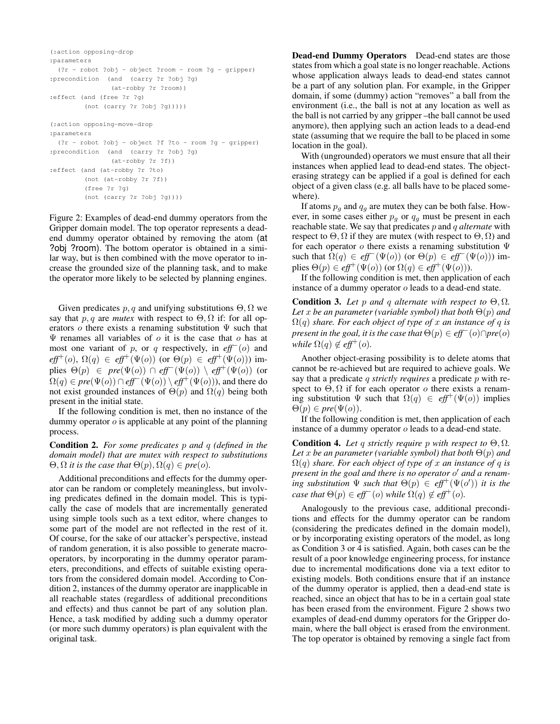```
(:action opposing-drop
:parameters
 (?r - robot ?obj - object ?room - room ?g - gripper)
:precondition (and (carry ?r ?obj ?g)
               (at-robby ?r ?room))
:effect (and (free ?r ?g)
        (not (carry ?r ?obj ?g)))))
(:action opposing-move-drop
:parameters
 (?r - robot ?obj - object ?f ?to - room ?g - gripper)
:precondition (and (carry ?r ?obj ?g)
              (at-robby ?r ?f))
:effect (and (at-robby ?r ?to)
        (not (at-robby ?r ?f))
         (free ?r ?g)
         (not (carry ?r ?obj ?g))))
```
Figure 2: Examples of dead-end dummy operators from the Gripper domain model. The top operator represents a deadend dummy operator obtained by removing the atom (at ?obj ?room). The bottom operator is obtained in a similar way, but is then combined with the move operator to increase the grounded size of the planning task, and to make the operator more likely to be selected by planning engines.

Given predicates  $p, q$  and unifying substitutions  $\Theta, \Omega$  we say that p, q are *mutex* with respect to  $\Theta$ ,  $\Omega$  if: for all operators o there exists a renaming substitution  $\Psi$  such that  $\Psi$  renames all variables of  $\sigma$  it is the case that  $\sigma$  has at most one variant of p, or q respectively, in *eff*<sup>−</sup>(o) and  $eff^+(o), \Omega(q) \in eff^+(\Psi(o))$  (or  $\Theta(p) \in eff^+(\Psi(o))$ ) implies  $\Theta(p) \in pre(\Psi(o)) \cap eff^{-}(\Psi(o)) \setminus eff^{+}(\Psi(o))$  (or  $\Omega(q) \in pre(\Psi(o)) \cap \text{eff}^-(\Psi(o)) \setminus \text{eff}^+(\Psi(o))$ , and there do not exist grounded instances of  $\Theta(p)$  and  $\Omega(q)$  being both present in the initial state.

If the following condition is met, then no instance of the dummy operator  $\sigma$  is applicable at any point of the planning process.

Condition 2. *For some predicates* p *and* q *(defined in the domain model) that are mutex with respect to substitutions*  $\Theta$ ,  $\Omega$  *it is the case that*  $\Theta(p)$ ,  $\Omega(q) \in pre(o)$ *.* 

Additional preconditions and effects for the dummy operator can be random or completely meaningless, but involving predicates defined in the domain model. This is typically the case of models that are incrementally generated using simple tools such as a text editor, where changes to some part of the model are not reflected in the rest of it. Of course, for the sake of our attacker's perspective, instead of random generation, it is also possible to generate macrooperators, by incorporating in the dummy operator parameters, preconditions, and effects of suitable existing operators from the considered domain model. According to Condition 2, instances of the dummy operator are inapplicable in all reachable states (regardless of additional preconditions and effects) and thus cannot be part of any solution plan. Hence, a task modified by adding such a dummy operator (or more such dummy operators) is plan equivalent with the original task.

Dead-end Dummy Operators Dead-end states are those states from which a goal state is no longer reachable. Actions whose application always leads to dead-end states cannot be a part of any solution plan. For example, in the Gripper domain, if some (dummy) action "removes" a ball from the environment (i.e., the ball is not at any location as well as the ball is not carried by any gripper –the ball cannot be used anymore), then applying such an action leads to a dead-end state (assuming that we require the ball to be placed in some location in the goal).

With (ungrounded) operators we must ensure that all their instances when applied lead to dead-end states. The objecterasing strategy can be applied if a goal is defined for each object of a given class (e.g. all balls have to be placed somewhere).

If atoms  $p_q$  and  $q_q$  are mutex they can be both false. However, in some cases either  $p_q$  or  $q_q$  must be present in each reachable state. We say that predicates p and q *alternate* with respect to  $\Theta$ ,  $\Omega$  if they are mutex (with respect to  $\Theta$ ,  $\Omega$ ) and for each operator  $o$  there exists a renaming substitution  $\Psi$ such that  $\Omega(q) \in \text{eff}^-(\Psi(o))$  (or  $\Theta(p) \in \text{eff}^-(\Psi(o))$ ) implies  $\Theta(p) \in \text{eff}^+(\Psi(o))$  (or  $\Omega(q) \in \text{eff}^+(\Psi(o))$ ).

If the following condition is met, then application of each instance of a dummy operator o leads to a dead-end state.

Condition 3. Let p and q alternate with respect to  $\Theta$ ,  $\Omega$ . *Let* x be an parameter (variable symbol) that both  $\Theta(p)$  and  $\Omega(q)$  *share. For each object of type of* x *an instance of* q *is present in the goal, it is the case that*  $\Theta(p) \in \text{eff}^-(o) \cap \text{pre}(o)$ *while*  $\Omega(q) \notin \text{eff}^+(o)$ .

Another object-erasing possibility is to delete atoms that cannot be re-achieved but are required to achieve goals. We say that a predicate q *strictly requires* a predicate p with respect to  $\Theta$ ,  $\Omega$  if for each operator o there exists a renaming substitution  $\Psi$  such that  $\Omega(q) \in \text{eff}^+(\Psi(o))$  implies  $\Theta(p) \in pre(\Psi(o)).$ 

If the following condition is met, then application of each instance of a dummy operator o leads to a dead-end state.

**Condition 4.** Let q strictly require p with respect to  $\Theta$ ,  $\Omega$ . *Let* x be an parameter (variable symbol) that both  $\Theta(p)$  and  $\Omega(q)$  *share. For each object of type of* x *an instance of* q *is present in the goal and there is no operator* o <sup>0</sup> *and a renam-* $\int$ *ing substitution*  $\Psi$  *such that*  $\Theta(p) \in \text{eff}^+(\Psi(o'))$  *it is the case that*  $\Theta(p) \in \text{eff}^-(o)$  *while*  $\Omega(q) \notin \text{eff}^+(o)$ *.* 

Analogously to the previous case, additional preconditions and effects for the dummy operator can be random (considering the predicates defined in the domain model), or by incorporating existing operators of the model, as long as Condition 3 or 4 is satisfied. Again, both cases can be the result of a poor knowledge engineering process, for instance due to incremental modifications done via a text editor to existing models. Both conditions ensure that if an instance of the dummy operator is applied, then a dead-end state is reached, since an object that has to be in a certain goal state has been erased from the environment. Figure 2 shows two examples of dead-end dummy operators for the Gripper domain, where the ball object is erased from the environment. The top operator is obtained by removing a single fact from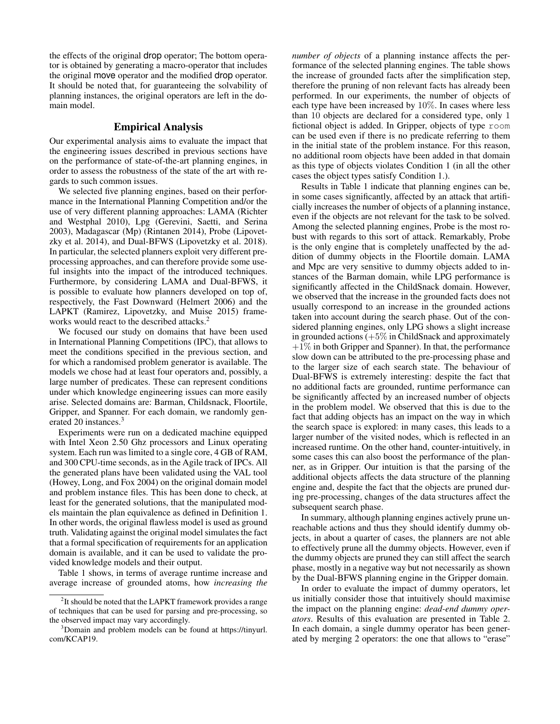the effects of the original drop operator; The bottom operator is obtained by generating a macro-operator that includes the original move operator and the modified drop operator. It should be noted that, for guaranteeing the solvability of planning instances, the original operators are left in the domain model.

# Empirical Analysis

Our experimental analysis aims to evaluate the impact that the engineering issues described in previous sections have on the performance of state-of-the-art planning engines, in order to assess the robustness of the state of the art with regards to such common issues.

We selected five planning engines, based on their performance in the International Planning Competition and/or the use of very different planning approaches: LAMA (Richter and Westphal 2010), Lpg (Gerevini, Saetti, and Serina 2003), Madagascar (Mp) (Rintanen 2014), Probe (Lipovetzky et al. 2014), and Dual-BFWS (Lipovetzky et al. 2018). In particular, the selected planners exploit very different preprocessing approaches, and can therefore provide some useful insights into the impact of the introduced techniques. Furthermore, by considering LAMA and Dual-BFWS, it is possible to evaluate how planners developed on top of, respectively, the Fast Downward (Helmert 2006) and the LAPKT (Ramirez, Lipovetzky, and Muise 2015) frameworks would react to the described attacks.<sup>2</sup>

We focused our study on domains that have been used in International Planning Competitions (IPC), that allows to meet the conditions specified in the previous section, and for which a randomised problem generator is available. The models we chose had at least four operators and, possibly, a large number of predicates. These can represent conditions under which knowledge engineering issues can more easily arise. Selected domains are: Barman, Childsnack, Floortile, Gripper, and Spanner. For each domain, we randomly generated 20 instances.<sup>3</sup>

Experiments were run on a dedicated machine equipped with Intel Xeon 2.50 Ghz processors and Linux operating system. Each run was limited to a single core, 4 GB of RAM, and 300 CPU-time seconds, as in the Agile track of IPCs. All the generated plans have been validated using the VAL tool (Howey, Long, and Fox 2004) on the original domain model and problem instance files. This has been done to check, at least for the generated solutions, that the manipulated models maintain the plan equivalence as defined in Definition 1. In other words, the original flawless model is used as ground truth. Validating against the original model simulates the fact that a formal specification of requirements for an application domain is available, and it can be used to validate the provided knowledge models and their output.

Table 1 shows, in terms of average runtime increase and average increase of grounded atoms, how *increasing the*

*number of objects* of a planning instance affects the performance of the selected planning engines. The table shows the increase of grounded facts after the simplification step, therefore the pruning of non relevant facts has already been performed. In our experiments, the number of objects of each type have been increased by 10%. In cases where less than 10 objects are declared for a considered type, only 1 fictional object is added. In Gripper, objects of type room can be used even if there is no predicate referring to them in the initial state of the problem instance. For this reason, no additional room objects have been added in that domain as this type of objects violates Condition 1 (in all the other cases the object types satisfy Condition 1.).

Results in Table 1 indicate that planning engines can be, in some cases significantly, affected by an attack that artificially increases the number of objects of a planning instance, even if the objects are not relevant for the task to be solved. Among the selected planning engines, Probe is the most robust with regards to this sort of attack. Remarkably, Probe is the only engine that is completely unaffected by the addition of dummy objects in the Floortile domain. LAMA and Mpc are very sensitive to dummy objects added to instances of the Barman domain, while LPG performance is significantly affected in the ChildSnack domain. However, we observed that the increase in the grounded facts does not usually correspond to an increase in the grounded actions taken into account during the search phase. Out of the considered planning engines, only LPG shows a slight increase in grounded actions (+5% in ChildSnack and approximately  $+1\%$  in both Gripper and Spanner). In that, the performance slow down can be attributed to the pre-processing phase and to the larger size of each search state. The behaviour of Dual-BFWS is extremely interesting: despite the fact that no additional facts are grounded, runtime performance can be significantly affected by an increased number of objects in the problem model. We observed that this is due to the fact that adding objects has an impact on the way in which the search space is explored: in many cases, this leads to a larger number of the visited nodes, which is reflected in an increased runtime. On the other hand, counter-intuitively, in some cases this can also boost the performance of the planner, as in Gripper. Our intuition is that the parsing of the additional objects affects the data structure of the planning engine and, despite the fact that the objects are pruned during pre-processing, changes of the data structures affect the subsequent search phase.

In summary, although planning engines actively prune unreachable actions and thus they should identify dummy objects, in about a quarter of cases, the planners are not able to effectively prune all the dummy objects. However, even if the dummy objects are pruned they can still affect the search phase, mostly in a negative way but not necessarily as shown by the Dual-BFWS planning engine in the Gripper domain.

In order to evaluate the impact of dummy operators, let us initially consider those that intuitively should maximise the impact on the planning engine: *dead-end dummy operators*. Results of this evaluation are presented in Table 2. In each domain, a single dummy operator has been generated by merging 2 operators: the one that allows to "erase"

<sup>&</sup>lt;sup>2</sup>It should be noted that the LAPKT framework provides a range of techniques that can be used for parsing and pre-processing, so the observed impact may vary accordingly.

<sup>&</sup>lt;sup>3</sup>Domain and problem models can be found at https://tinyurl. com/KCAP19.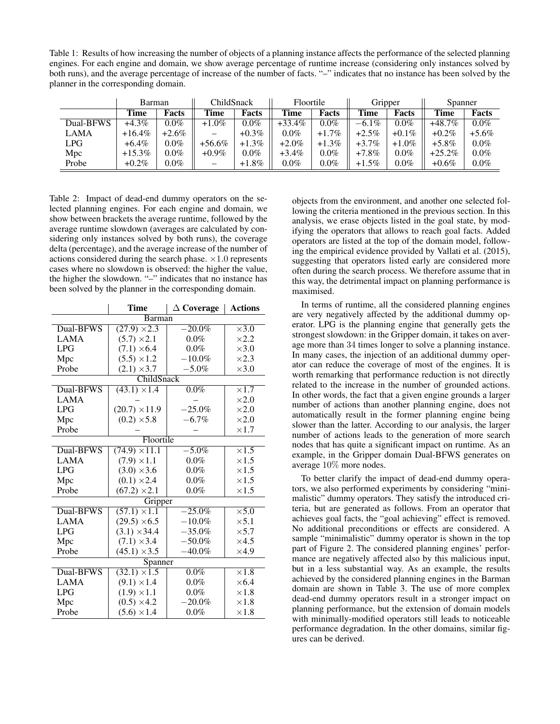Table 1: Results of how increasing the number of objects of a planning instance affects the performance of the selected planning engines. For each engine and domain, we show average percentage of runtime increase (considering only instances solved by both runs), and the average percentage of increase of the number of facts. "–" indicates that no instance has been solved by the planner in the corresponding domain.

|             | Barman    |          | ChildSnack |          | Floortile |          | Gripper  |          | Spanner   |          |
|-------------|-----------|----------|------------|----------|-----------|----------|----------|----------|-----------|----------|
|             | Time      | Facts    | Time       | Facts    | Time      | Facts    | Time     | Facts    | Time      | Facts    |
| Dual-BFWS   | $+4.3\%$  | $0.0\%$  | $+1.0\%$   | $0.0\%$  | $+33.4%$  | $0.0\%$  | $-6.1\%$ | $0.0\%$  | $+48.7\%$ | $0.0\%$  |
| <b>LAMA</b> | $+16.4\%$ | $+2.6\%$ | –          | $+0.3\%$ | $0.0\%$   | $+1.7\%$ | $+2.5\%$ | $+0.1\%$ | $+0.2\%$  | $+5.6\%$ |
| LPG         | $+6.4\%$  | $0.0\%$  | $+56.6%$   | $+1.3\%$ | $+2.0\%$  | $+1.3\%$ | $+3.7\%$ | $+1.0\%$ | $+5.8\%$  | $0.0\%$  |
| Mpc         | $+15.3%$  | $0.0\%$  | $+0.9\%$   | $0.0\%$  | $+3.4\%$  | $0.0\%$  | $+7.8\%$ | $0.0\%$  | $+25.2%$  | $0.0\%$  |
| Probe       | $+0.2\%$  | $0.0\%$  | —          | $+1.8\%$ | $0.0\%$   | $0.0\%$  | $+1.5\%$ | $0.0\%$  | $+0.6\%$  | $0.0\%$  |

Table 2: Impact of dead-end dummy operators on the selected planning engines. For each engine and domain, we show between brackets the average runtime, followed by the average runtime slowdown (averages are calculated by considering only instances solved by both runs), the coverage delta (percentage), and the average increase of the number of actions considered during the search phase.  $\times 1.0$  represents cases where no slowdown is observed: the higher the value, the higher the slowdown. "–" indicates that no instance has been solved by the planner in the corresponding domain.

|               | Time                 | $\Delta$ Coverage | <b>Actions</b> |  |  |
|---------------|----------------------|-------------------|----------------|--|--|
| <b>Barman</b> |                      |                   |                |  |  |
| Dual-BFWS     | $(27.9) \times 2.3$  | $-20.0\%$         | $\times 3.0$   |  |  |
| <b>LAMA</b>   | $(5.7) \times 2.1$   | $0.0\%$           | $\times2.2$    |  |  |
| LPG           | $(7.1) \times 6.4$   | 0.0%              | $\times 3.0$   |  |  |
| Mpc           | $(5.5) \times 1.2$   | $-10.0\%$         | $\times 2.3$   |  |  |
| Probe         | $(2.1) \times 3.7$   | $-5.0\%$          | $\times 3.0$   |  |  |
|               | ChildSnack           |                   |                |  |  |
| Dual-BFWS     | $(43.1) \times 1.4$  | $0.0\%$           | $\times1.7$    |  |  |
| <b>LAMA</b>   |                      |                   | $\times2.0$    |  |  |
| <b>LPG</b>    | $(20.7) \times 11.9$ | $-25.0\%$         | $\times2.0$    |  |  |
| Mpc           | $(0.2) \times 5.8$   | $-6.7%$           | $\times2.0$    |  |  |
| Probe         |                      |                   | $\times1.7$    |  |  |
|               | Floortile            |                   |                |  |  |
| Dual-BFWS     | $(74.9) \times 11.1$ | $-5.0\%$          | $\times 1.5$   |  |  |
| LAMA          | $(7.9) \times 1.1$   | $0.0\%$           | $\times1.5$    |  |  |
| LPG           | $(3.0) \times 3.6$   | $0.0\%$           | $\times1.5$    |  |  |
| Mpc           | $(0.1) \times 2.4$   | 0.0%              | $\times1.5$    |  |  |
| Probe         | $(67.2) \times 2.1$  | $0.0\%$           | $\times1.5$    |  |  |
|               | Gripper              |                   |                |  |  |
| Dual-BFWS     | $(57.1) \times 1.1$  | $-25.0\%$         | $\times$ 5.0   |  |  |
| <b>LAMA</b>   | $(29.5) \times 6.5$  | $-10.0\%$         | $\times$ 5.1   |  |  |
| LPG           | $(3.1) \times 34.4$  | $-35.0\%$         | $\times$ 5.7   |  |  |
| Mpc           | $(7.1) \times 3.4$   | $-50.0\%$         | $\times$ 4.5   |  |  |
| Probe         | $(45.1) \times 3.5$  | $-40.0\%$         | $\times$ 4.9   |  |  |
| Spanner       |                      |                   |                |  |  |
| Dual-BFWS     | $(32.1) \times 1.5$  | $0.0\%$           | $\times 1.8$   |  |  |
| <b>LAMA</b>   | $(9.1) \times 1.4$   | $0.0\%$           | $\times$ 6.4   |  |  |
| <b>LPG</b>    | $(1.9) \times 1.1$   | $0.0\%$           | $\times1.8$    |  |  |
| Mpc           | $(0.5) \times 4.2$   | $-20.0\%$         | $\times1.8$    |  |  |
| Probe         | $(5.6) \times 1.4$   | $0.0\%$           | $\times1.8$    |  |  |

objects from the environment, and another one selected following the criteria mentioned in the previous section. In this analysis, we erase objects listed in the goal state, by modifying the operators that allows to reach goal facts. Added operators are listed at the top of the domain model, following the empirical evidence provided by Vallati et al. (2015), suggesting that operators listed early are considered more often during the search process. We therefore assume that in this way, the detrimental impact on planning performance is maximised.

In terms of runtime, all the considered planning engines are very negatively affected by the additional dummy operator. LPG is the planning engine that generally gets the strongest slowdown: in the Gripper domain, it takes on average more than 34 times longer to solve a planning instance. In many cases, the injection of an additional dummy operator can reduce the coverage of most of the engines. It is worth remarking that performance reduction is not directly related to the increase in the number of grounded actions. In other words, the fact that a given engine grounds a larger number of actions than another planning engine, does not automatically result in the former planning engine being slower than the latter. According to our analysis, the larger number of actions leads to the generation of more search nodes that has quite a significant impact on runtime. As an example, in the Gripper domain Dual-BFWS generates on average 10% more nodes.

To better clarify the impact of dead-end dummy operators, we also performed experiments by considering "minimalistic" dummy operators. They satisfy the introduced criteria, but are generated as follows. From an operator that achieves goal facts, the "goal achieving" effect is removed. No additional preconditions or effects are considered. A sample "minimalistic" dummy operator is shown in the top part of Figure 2. The considered planning engines' performance are negatively affected also by this malicious input, but in a less substantial way. As an example, the results achieved by the considered planning engines in the Barman domain are shown in Table 3. The use of more complex dead-end dummy operators result in a stronger impact on planning performance, but the extension of domain models with minimally-modified operators still leads to noticeable performance degradation. In the other domains, similar figures can be derived.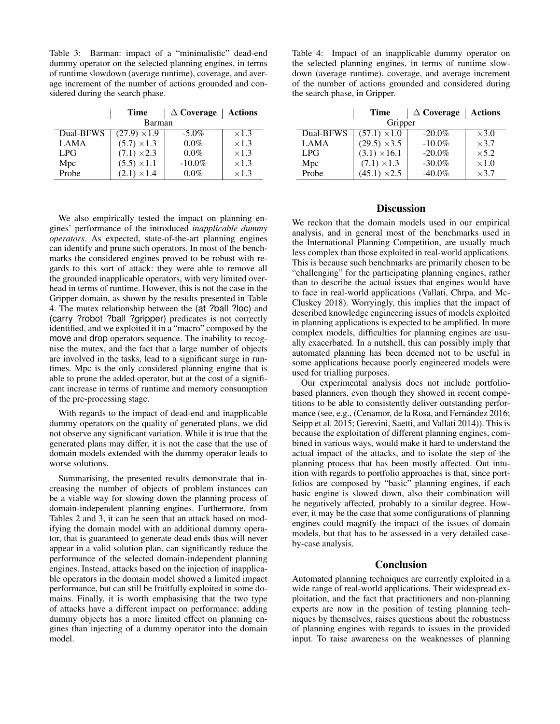Table 3: Barman: impact of a "minimalistic" dead-end dummy operator on the selected planning engines, in terms of runtime slowdown (average runtime), coverage, and average increment of the number of actions grounded and considered during the search phase.

|             | Time                | $\triangle$ Coverage | <b>Actions</b> |  |  |
|-------------|---------------------|----------------------|----------------|--|--|
| Barman      |                     |                      |                |  |  |
| Dual-BFWS   | $(27.9) \times 1.9$ | $-5.0\%$             | $\times$ 1.3   |  |  |
| <b>LAMA</b> | $(5.7) \times 1.3$  | $0.0\%$              | $\times$ 1.3   |  |  |
| <b>LPG</b>  | $(7.1) \times 2.3$  | $0.0\%$              | $\times$ 1.3   |  |  |
| Mpc         | $(5.5) \times 1.1$  | $-10.0\%$            | $\times$ 1.3   |  |  |
| Probe       | $(2.1) \times 1.4$  | $0.0\%$              | $\times$ 1.3   |  |  |

We also empirically tested the impact on planning engines' performance of the introduced *inapplicable dummy operators*. As expected, state-of-the-art planning engines can identify and prune such operators. In most of the benchmarks the considered engines proved to be robust with regards to this sort of attack: they were able to remove all the grounded inapplicable operators, with very limited overhead in terms of runtime. However, this is not the case in the Gripper domain, as shown by the results presented in Table 4. The mutex relationship between the (at ?ball ?loc) and (carry ?robot ?ball ?gripper) predicates is not correctly identified, and we exploited it in a "macro" composed by the move and drop operators sequence. The inability to recognise the mutex, and the fact that a large number of objects are involved in the tasks, lead to a significant surge in runtimes. Mpc is the only considered planning engine that is able to prune the added operator, but at the cost of a significant increase in terms of runtime and memory consumption of the pre-processing stage.

With regards to the impact of dead-end and inapplicable dummy operators on the quality of generated plans, we did not observe any significant variation. While it is true that the generated plans may differ, it is not the case that the use of domain models extended with the dummy operator leads to worse solutions.

Summarising, the presented results demonstrate that increasing the number of objects of problem instances can be a viable way for slowing down the planning process of domain-independent planning engines. Furthermore, from Tables 2 and 3, it can be seen that an attack based on modifying the domain model with an additional dummy operator, that is guaranteed to generate dead ends thus will never appear in a valid solution plan, can significantly reduce the performance of the selected domain-independent planning engines. Instead, attacks based on the injection of inapplicable operators in the domain model showed a limited impact performance, but can still be fruitfully exploited in some domains. Finally, it is worth emphasising that the two type of attacks have a different impact on performance: adding dummy objects has a more limited effect on planning engines than injecting of a dummy operator into the domain model.

Table 4: Impact of an inapplicable dummy operator on the selected planning engines, in terms of runtime slowdown (average runtime), coverage, and average increment of the number of actions grounded and considered during the search phase, in Gripper.

|             | Time                | $\Delta$ Coverage | Actions      |  |  |
|-------------|---------------------|-------------------|--------------|--|--|
| Gripper     |                     |                   |              |  |  |
| Dual-BFWS   | $(57.1) \times 1.0$ | $-20.0\%$         | $\times$ 3.0 |  |  |
| <b>LAMA</b> | $(29.5) \times 3.5$ | $-10.0\%$         | $\times$ 3.7 |  |  |
| <b>LPG</b>  | $(3.1) \times 16.1$ | $-20.0\%$         | $\times$ 5.2 |  |  |
| Mpc         | $(7.1) \times 1.3$  | $-30.0\%$         | $\times1.0$  |  |  |
| Probe       | $(45.1) \times 2.5$ | $-40.0\%$         | $\times$ 3.7 |  |  |

# **Discussion**

We reckon that the domain models used in our empirical analysis, and in general most of the benchmarks used in the International Planning Competition, are usually much less complex than those exploited in real-world applications. This is because such benchmarks are primarily chosen to be "challenging" for the participating planning engines, rather than to describe the actual issues that engines would have to face in real-world applications (Vallati, Chrpa, and Mc-Cluskey 2018). Worryingly, this implies that the impact of described knowledge engineering issues of models exploited in planning applications is expected to be amplified. In more complex models, difficulties for planning engines are usually exacerbated. In a nutshell, this can possibly imply that automated planning has been deemed not to be useful in some applications because poorly engineered models were used for trialling purposes.

Our experimental analysis does not include portfoliobased planners, even though they showed in recent competitions to be able to consistently deliver outstanding performance (see, e.g., (Cenamor, de la Rosa, and Fernández 2016; Seipp et al. 2015; Gerevini, Saetti, and Vallati 2014)). This is because the exploitation of different planning engines, combined in various ways, would make it hard to understand the actual impact of the attacks, and to isolate the step of the planning process that has been mostly affected. Out intuition with regards to portfolio approaches is that, since portfolios are composed by "basic" planning engines, if each basic engine is slowed down, also their combination will be negatively affected, probably to a similar degree. However, it may be the case that some configurations of planning engines could magnify the impact of the issues of domain models, but that has to be assessed in a very detailed caseby-case analysis.

#### Conclusion

Automated planning techniques are currently exploited in a wide range of real-world applications. Their widespread exploitation, and the fact that practitioners and non-planning experts are now in the position of testing planning techniques by themselves, raises questions about the robustness of planning engines with regards to issues in the provided input. To raise awareness on the weaknesses of planning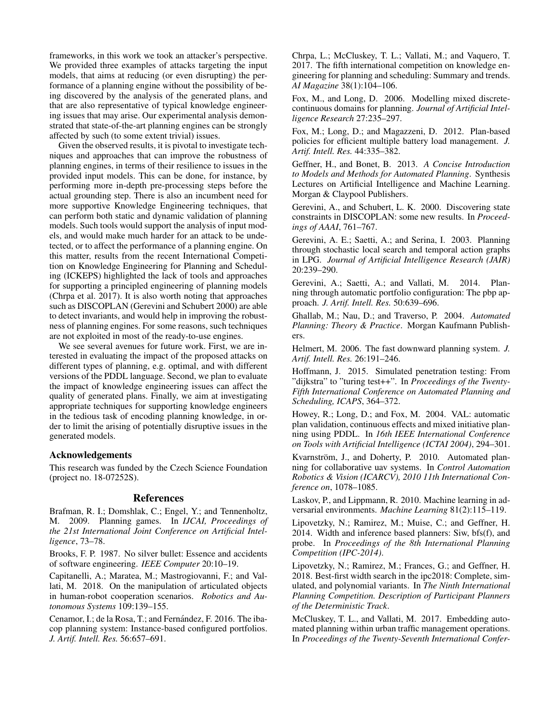frameworks, in this work we took an attacker's perspective. We provided three examples of attacks targeting the input models, that aims at reducing (or even disrupting) the performance of a planning engine without the possibility of being discovered by the analysis of the generated plans, and that are also representative of typical knowledge engineering issues that may arise. Our experimental analysis demonstrated that state-of-the-art planning engines can be strongly affected by such (to some extent trivial) issues.

Given the observed results, it is pivotal to investigate techniques and approaches that can improve the robustness of planning engines, in terms of their resilience to issues in the provided input models. This can be done, for instance, by performing more in-depth pre-processing steps before the actual grounding step. There is also an incumbent need for more supportive Knowledge Engineering techniques, that can perform both static and dynamic validation of planning models. Such tools would support the analysis of input models, and would make much harder for an attack to be undetected, or to affect the performance of a planning engine. On this matter, results from the recent International Competition on Knowledge Engineering for Planning and Scheduling (ICKEPS) highlighted the lack of tools and approaches for supporting a principled engineering of planning models (Chrpa et al. 2017). It is also worth noting that approaches such as DISCOPLAN (Gerevini and Schubert 2000) are able to detect invariants, and would help in improving the robustness of planning engines. For some reasons, such techniques are not exploited in most of the ready-to-use engines.

We see several avenues for future work. First, we are interested in evaluating the impact of the proposed attacks on different types of planning, e.g. optimal, and with different versions of the PDDL language. Second, we plan to evaluate the impact of knowledge engineering issues can affect the quality of generated plans. Finally, we aim at investigating appropriate techniques for supporting knowledge engineers in the tedious task of encoding planning knowledge, in order to limit the arising of potentially disruptive issues in the generated models.

### Acknowledgements

This research was funded by the Czech Science Foundation (project no. 18-07252S).

# References

Brafman, R. I.; Domshlak, C.; Engel, Y.; and Tennenholtz, M. 2009. Planning games. In *IJCAI, Proceedings of the 21st International Joint Conference on Artificial Intelligence*, 73–78.

Brooks, F. P. 1987. No silver bullet: Essence and accidents of software engineering. *IEEE Computer* 20:10–19.

Capitanelli, A.; Maratea, M.; Mastrogiovanni, F.; and Vallati, M. 2018. On the manipulation of articulated objects in human-robot cooperation scenarios. *Robotics and Autonomous Systems* 109:139–155.

Cenamor, I.; de la Rosa, T.; and Fernández, F. 2016. The ibacop planning system: Instance-based configured portfolios. *J. Artif. Intell. Res.* 56:657–691.

Chrpa, L.; McCluskey, T. L.; Vallati, M.; and Vaquero, T. 2017. The fifth international competition on knowledge engineering for planning and scheduling: Summary and trends. *AI Magazine* 38(1):104–106.

Fox, M., and Long, D. 2006. Modelling mixed discretecontinuous domains for planning. *Journal of Artificial Intelligence Research* 27:235–297.

Fox, M.; Long, D.; and Magazzeni, D. 2012. Plan-based policies for efficient multiple battery load management. *J. Artif. Intell. Res.* 44:335–382.

Geffner, H., and Bonet, B. 2013. *A Concise Introduction to Models and Methods for Automated Planning*. Synthesis Lectures on Artificial Intelligence and Machine Learning. Morgan & Claypool Publishers.

Gerevini, A., and Schubert, L. K. 2000. Discovering state constraints in DISCOPLAN: some new results. In *Proceedings of AAAI*, 761–767.

Gerevini, A. E.; Saetti, A.; and Serina, I. 2003. Planning through stochastic local search and temporal action graphs in LPG. *Journal of Artificial Intelligence Research (JAIR)* 20:239–290.

Gerevini, A.; Saetti, A.; and Vallati, M. 2014. Planning through automatic portfolio configuration: The pbp approach. *J. Artif. Intell. Res.* 50:639–696.

Ghallab, M.; Nau, D.; and Traverso, P. 2004. *Automated Planning: Theory & Practice*. Morgan Kaufmann Publishers.

Helmert, M. 2006. The fast downward planning system. *J. Artif. Intell. Res.* 26:191–246.

Hoffmann, J. 2015. Simulated penetration testing: From "dijkstra" to "turing test++". In *Proceedings of the Twenty-Fifth International Conference on Automated Planning and Scheduling, ICAPS*, 364–372.

Howey, R.; Long, D.; and Fox, M. 2004. VAL: automatic plan validation, continuous effects and mixed initiative planning using PDDL. In *16th IEEE International Conference on Tools with Artificial Intelligence (ICTAI 2004)*, 294–301.

Kvarnström, J., and Doherty, P. 2010. Automated planning for collaborative uav systems. In *Control Automation Robotics & Vision (ICARCV), 2010 11th International Conference on*, 1078–1085.

Laskov, P., and Lippmann, R. 2010. Machine learning in adversarial environments. *Machine Learning* 81(2):115–119.

Lipovetzky, N.; Ramirez, M.; Muise, C.; and Geffner, H. 2014. Width and inference based planners: Siw, bfs(f), and probe. In *Proceedings of the 8th International Planning Competition (IPC-2014)*.

Lipovetzky, N.; Ramirez, M.; Frances, G.; and Geffner, H. 2018. Best-first width search in the ipc2018: Complete, simulated, and polynomial variants. In *The Ninth International Planning Competition. Description of Participant Planners of the Deterministic Track*.

McCluskey, T. L., and Vallati, M. 2017. Embedding automated planning within urban traffic management operations. In *Proceedings of the Twenty-Seventh International Confer-*